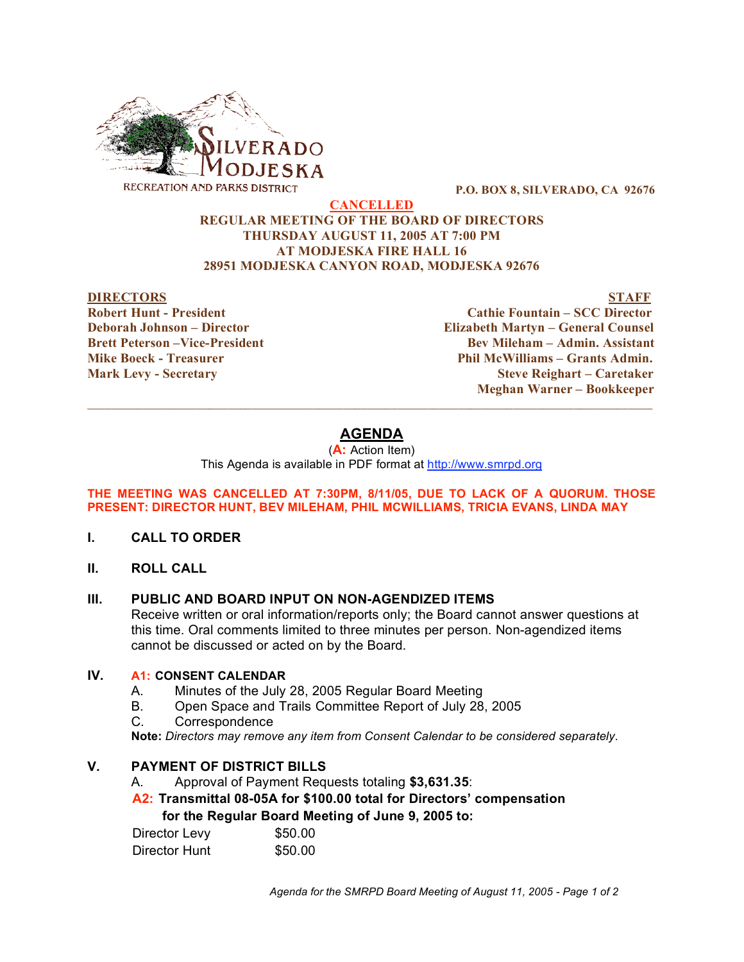

**P.O. BOX 8, SILVERADO, CA 92676**

#### **CANCELLED REGULAR MEETING OF THE BOARD OF DIRECTORS THURSDAY AUGUST 11, 2005 AT 7:00 PM AT MODJESKA FIRE HALL 16 28951 MODJESKA CANYON ROAD, MODJESKA 92676**

#### **DIRECTORS STAFF**

**Robert Hunt - President Cathie Fountain – SCC Director Deborah Johnson – Director Elizabeth Martyn – General Counsel Brett Peterson –Vice-President Bev Mileham – Admin. Assistant Mike Boeck - Treasurer Phil McWilliams – Grants Admin. Mark Levy - Secretary Steve Reighart – Caretaker Meghan Warner – Bookkeeper**

# **AGENDA**

 $\_$  ,  $\_$  ,  $\_$  ,  $\_$  ,  $\_$  ,  $\_$  ,  $\_$  ,  $\_$  ,  $\_$  ,  $\_$  ,  $\_$  ,  $\_$  ,  $\_$  ,  $\_$  ,  $\_$  ,  $\_$  ,  $\_$  ,  $\_$  ,  $\_$  ,  $\_$  ,  $\_$  ,  $\_$  ,  $\_$  ,  $\_$  ,  $\_$  ,  $\_$  ,  $\_$  ,  $\_$  ,  $\_$  ,  $\_$  ,  $\_$  ,  $\_$  ,  $\_$  ,  $\_$  ,  $\_$  ,  $\_$  ,  $\_$  ,

(**A:** Action Item) This Agenda is available in PDF format at http://www.smrpd.org

#### **THE MEETING WAS CANCELLED AT 7:30PM, 8/11/05, DUE TO LACK OF A QUORUM. THOSE PRESENT: DIRECTOR HUNT, BEV MILEHAM, PHIL MCWILLIAMS, TRICIA EVANS, LINDA MAY**

- **I. CALL TO ORDER**
- **II. ROLL CALL**

# **III. PUBLIC AND BOARD INPUT ON NON-AGENDIZED ITEMS**

Receive written or oral information/reports only; the Board cannot answer questions at this time. Oral comments limited to three minutes per person. Non-agendized items cannot be discussed or acted on by the Board.

### **IV. A1: CONSENT CALENDAR**

- A. Minutes of the July 28, 2005 Regular Board Meeting
- B. Open Space and Trails Committee Report of July 28, 2005
- C. Correspondence

**Note:** *Directors may remove any item from Consent Calendar to be considered separately.*

# **V. PAYMENT OF DISTRICT BILLS**

A. Approval of Payment Requests totaling **\$3,631.35**:

**A2: Transmittal 08-05A for \$100.00 total for Directors' compensation**

**for the Regular Board Meeting of June 9, 2005 to:** 

| Director Levy | \$50.00 |
|---------------|---------|
| Director Hunt | \$50.00 |